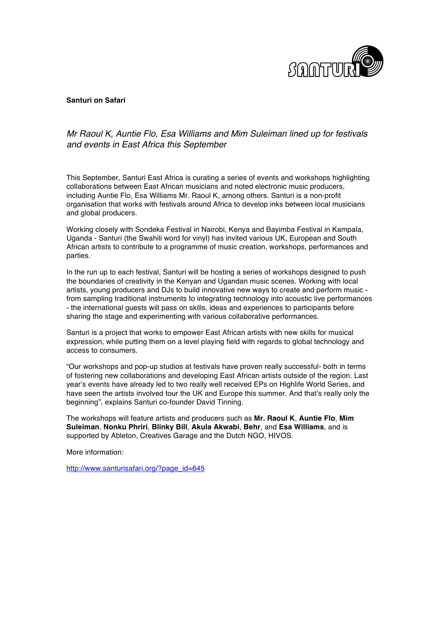

## **Santuri on Safari**

## *Mr Raoul K, Auntie Flo, Esa Williams and Mim Suleiman lined up for festivals and events in East Africa this September*

This September, Santuri East Africa is curating a series of events and workshops highlighting collaborations between East African musicians and noted electronic music producers, including Auntie Flo, Esa Williams Mr. Raoul K, among others. Santuri is a non-profit organisation that works with festivals around Africa to develop inks between local musicians and global producers.

Working closely with Sondeka Festival in Nairobi, Kenya and Bayimba Festival in Kampala, Uganda - Santuri (the Swahili word for vinyl) has invited various UK, European and South African artists to contribute to a programme of music creation, workshops, performances and parties.

In the run up to each festival, Santuri will be hosting a series of workshops designed to push the boundaries of creativity in the Kenyan and Ugandan music scenes. Working with local artists, young producers and DJs to build innovative new ways to create and perform music from sampling traditional instruments to integrating technology into acoustic live performances - the international guests will pass on skills, ideas and experiences to participants before sharing the stage and experimenting with various collaborative performances.

Santuri is a project that works to empower East African artists with new skills for musical expression, while putting them on a level playing field with regards to global technology and access to consumers.

"Our workshops and pop-up studios at festivals have proven really successful- both in terms of fostering new collaborations and developing East African artists outside of the region. Last year's events have already led to two really well received EPs on Highlife World Series, and have seen the artists involved tour the UK and Europe this summer. And that's really only the beginning", explains Santuri co-founder David Tinning.

The workshops will feature artists and producers such as **Mr. Raoul K**, **Auntie Flo**, **Mim Suleiman**, **Nonku Phriri**, **Blinky Bill**, **Akula Akwabi**, **Behr**, and **Esa Williams**, and is supported by Ableton, Creatives Garage and the Dutch NGO, HIVOS.

More information:

http://www.santurisafari.org/?page\_id=645